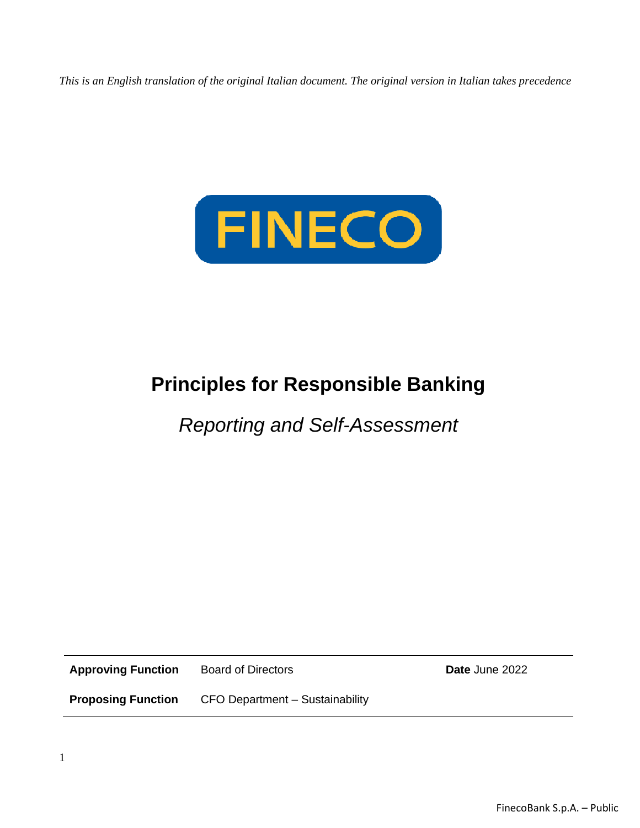*This is an English translation of the original Italian document. The original version in Italian takes precedence*



# **Principles for Responsible Banking**

*Reporting and Self-Assessment*

**Approving Function** Board of Directors **Date** June 2022

**Proposing Function** CFO Department – Sustainability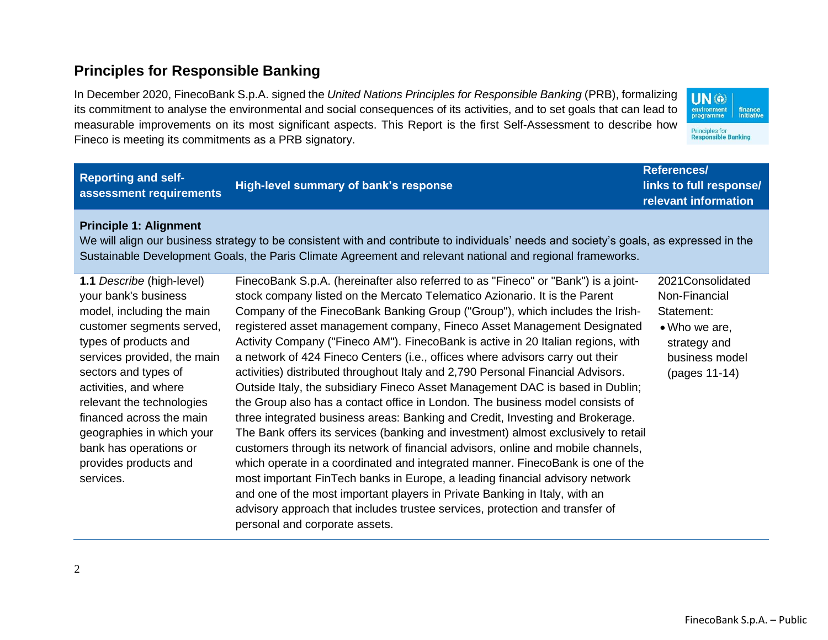## **Principles for Responsible Banking**

In December 2020, FinecoBank S.p.A. signed the *United Nations Principles for Responsible Banking* (PRB), formalizing its commitment to analyse the environmental and social consequences of its activities, and to set goals that can lead to measurable improvements on its most significant aspects. This Report is the first Self-Assessment to describe how Fineco is meeting its commitments as a PRB signatory.



| <b>Reporting and self-</b><br>assessment requirements                                                                                                                                                                                                                                                                                                                      | High-level summary of bank's response                                                                                                                                                                                                                                                                                                                                                                                                                                                                                                                                                                                                                                                                                                                                                                                                                                                                                                                                                                                                                                                                                                                                                                                                                                                                                                                                              | <b>References/</b><br>links to full response/<br>relevant information                                               |
|----------------------------------------------------------------------------------------------------------------------------------------------------------------------------------------------------------------------------------------------------------------------------------------------------------------------------------------------------------------------------|------------------------------------------------------------------------------------------------------------------------------------------------------------------------------------------------------------------------------------------------------------------------------------------------------------------------------------------------------------------------------------------------------------------------------------------------------------------------------------------------------------------------------------------------------------------------------------------------------------------------------------------------------------------------------------------------------------------------------------------------------------------------------------------------------------------------------------------------------------------------------------------------------------------------------------------------------------------------------------------------------------------------------------------------------------------------------------------------------------------------------------------------------------------------------------------------------------------------------------------------------------------------------------------------------------------------------------------------------------------------------------|---------------------------------------------------------------------------------------------------------------------|
| <b>Principle 1: Alignment</b>                                                                                                                                                                                                                                                                                                                                              | We will align our business strategy to be consistent with and contribute to individuals' needs and society's goals, as expressed in the<br>Sustainable Development Goals, the Paris Climate Agreement and relevant national and regional frameworks.                                                                                                                                                                                                                                                                                                                                                                                                                                                                                                                                                                                                                                                                                                                                                                                                                                                                                                                                                                                                                                                                                                                               |                                                                                                                     |
| 1.1 Describe (high-level)<br>your bank's business<br>model, including the main<br>customer segments served,<br>types of products and<br>services provided, the main<br>sectors and types of<br>activities, and where<br>relevant the technologies<br>financed across the main<br>geographies in which your<br>bank has operations or<br>provides products and<br>services. | FinecoBank S.p.A. (hereinafter also referred to as "Fineco" or "Bank") is a joint-<br>stock company listed on the Mercato Telematico Azionario. It is the Parent<br>Company of the FinecoBank Banking Group ("Group"), which includes the Irish-<br>registered asset management company, Fineco Asset Management Designated<br>Activity Company ("Fineco AM"). FinecoBank is active in 20 Italian regions, with<br>a network of 424 Fineco Centers (i.e., offices where advisors carry out their<br>activities) distributed throughout Italy and 2,790 Personal Financial Advisors.<br>Outside Italy, the subsidiary Fineco Asset Management DAC is based in Dublin;<br>the Group also has a contact office in London. The business model consists of<br>three integrated business areas: Banking and Credit, Investing and Brokerage.<br>The Bank offers its services (banking and investment) almost exclusively to retail<br>customers through its network of financial advisors, online and mobile channels,<br>which operate in a coordinated and integrated manner. FinecoBank is one of the<br>most important FinTech banks in Europe, a leading financial advisory network<br>and one of the most important players in Private Banking in Italy, with an<br>advisory approach that includes trustee services, protection and transfer of<br>personal and corporate assets. | 2021Consolidated<br>Non-Financial<br>Statement:<br>• Who we are,<br>strategy and<br>business model<br>(pages 11-14) |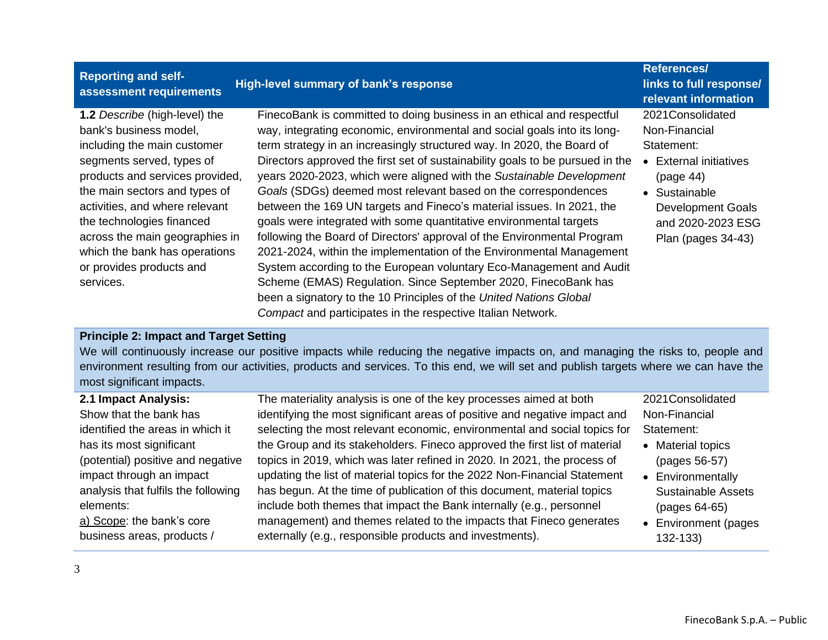| <b>Reporting and self-</b><br>assessment requirements                                                                                                                                                                                                                                                                                                              | High-level summary of bank's response                                                                                                                                                                                                                                                                                                                                                                                                                                                                                                                                                                                                                                                                                                                                                                                                                                                                                                                                                                                                   | <b>References/</b><br>links to full response/<br>relevant information                                                                                                               |
|--------------------------------------------------------------------------------------------------------------------------------------------------------------------------------------------------------------------------------------------------------------------------------------------------------------------------------------------------------------------|-----------------------------------------------------------------------------------------------------------------------------------------------------------------------------------------------------------------------------------------------------------------------------------------------------------------------------------------------------------------------------------------------------------------------------------------------------------------------------------------------------------------------------------------------------------------------------------------------------------------------------------------------------------------------------------------------------------------------------------------------------------------------------------------------------------------------------------------------------------------------------------------------------------------------------------------------------------------------------------------------------------------------------------------|-------------------------------------------------------------------------------------------------------------------------------------------------------------------------------------|
| 1.2 Describe (high-level) the<br>bank's business model,<br>including the main customer<br>segments served, types of<br>products and services provided,<br>the main sectors and types of<br>activities, and where relevant<br>the technologies financed<br>across the main geographies in<br>which the bank has operations<br>or provides products and<br>services. | FinecoBank is committed to doing business in an ethical and respectful<br>way, integrating economic, environmental and social goals into its long-<br>term strategy in an increasingly structured way. In 2020, the Board of<br>Directors approved the first set of sustainability goals to be pursued in the<br>years 2020-2023, which were aligned with the Sustainable Development<br>Goals (SDGs) deemed most relevant based on the correspondences<br>between the 169 UN targets and Fineco's material issues. In 2021, the<br>goals were integrated with some quantitative environmental targets<br>following the Board of Directors' approval of the Environmental Program<br>2021-2024, within the implementation of the Environmental Management<br>System according to the European voluntary Eco-Management and Audit<br>Scheme (EMAS) Regulation. Since September 2020, FinecoBank has<br>been a signatory to the 10 Principles of the United Nations Global<br>Compact and participates in the respective Italian Network. | 2021Consolidated<br>Non-Financial<br>Statement:<br><b>External initiatives</b><br>(page 44)<br>• Sustainable<br><b>Development Goals</b><br>and 2020-2023 ESG<br>Plan (pages 34-43) |

#### **Principle 2: Impact and Target Setting**

We will continuously increase our positive impacts while reducing the negative impacts on, and managing the risks to, people and environment resulting from our activities, products and services. To this end, we will set and publish targets where we can have the most significant impacts.

| 2.1 Impact Analysis:<br>Show that the bank has<br>identified the areas in which it<br>has its most significant<br>(potential) positive and negative<br>impact through an impact<br>analysis that fulfils the following | The materiality analysis is one of the key processes aimed at both<br>identifying the most significant areas of positive and negative impact and<br>selecting the most relevant economic, environmental and social topics for<br>the Group and its stakeholders. Fineco approved the first list of material<br>topics in 2019, which was later refined in 2020. In 2021, the process of<br>updating the list of material topics for the 2022 Non-Financial Statement<br>has begun. At the time of publication of this document, material topics | 2021Consolidated<br>Non-Financial<br>Statement:<br>• Material topics<br>(pages 56-57)<br>• Environmentally |
|------------------------------------------------------------------------------------------------------------------------------------------------------------------------------------------------------------------------|-------------------------------------------------------------------------------------------------------------------------------------------------------------------------------------------------------------------------------------------------------------------------------------------------------------------------------------------------------------------------------------------------------------------------------------------------------------------------------------------------------------------------------------------------|------------------------------------------------------------------------------------------------------------|
| elements:<br>a) Scope: the bank's core<br>business areas, products /                                                                                                                                                   | include both themes that impact the Bank internally (e.g., personnel<br>management) and themes related to the impacts that Fineco generates<br>externally (e.g., responsible products and investments).                                                                                                                                                                                                                                                                                                                                         | <b>Sustainable Assets</b><br>(pages 64-65)<br>• Environment (pages<br>$132 - 133$                          |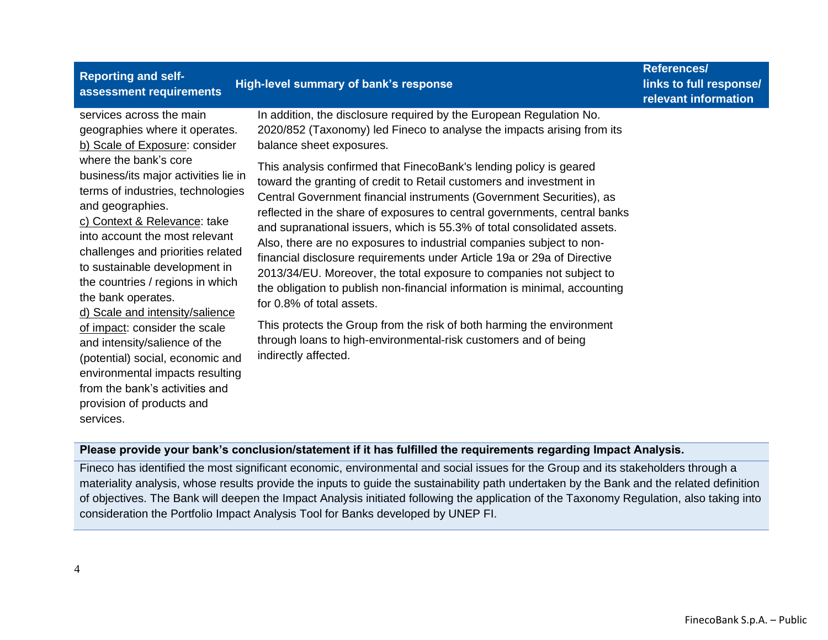| <b>Reporting and self-</b><br>assessment requirements                                                                                                                                                                                                                                                                                                                                                                                                                                                                                                                                                                                                                            | High-level summary of bank's response                                                                                                                                                                                                                                                                                                                                                                                                                                                                                                                                                                                                                                                                                                                                                                                                                                                                                                                                                                                                                            | <b>References/</b><br>links to full response/<br>relevant information |
|----------------------------------------------------------------------------------------------------------------------------------------------------------------------------------------------------------------------------------------------------------------------------------------------------------------------------------------------------------------------------------------------------------------------------------------------------------------------------------------------------------------------------------------------------------------------------------------------------------------------------------------------------------------------------------|------------------------------------------------------------------------------------------------------------------------------------------------------------------------------------------------------------------------------------------------------------------------------------------------------------------------------------------------------------------------------------------------------------------------------------------------------------------------------------------------------------------------------------------------------------------------------------------------------------------------------------------------------------------------------------------------------------------------------------------------------------------------------------------------------------------------------------------------------------------------------------------------------------------------------------------------------------------------------------------------------------------------------------------------------------------|-----------------------------------------------------------------------|
| services across the main<br>geographies where it operates.<br>b) Scale of Exposure: consider<br>where the bank's core<br>business/its major activities lie in<br>terms of industries, technologies<br>and geographies.<br>c) Context & Relevance: take<br>into account the most relevant<br>challenges and priorities related<br>to sustainable development in<br>the countries / regions in which<br>the bank operates.<br>d) Scale and intensity/salience<br>of impact: consider the scale<br>and intensity/salience of the<br>(potential) social, economic and<br>environmental impacts resulting<br>from the bank's activities and<br>provision of products and<br>services. | In addition, the disclosure required by the European Regulation No.<br>2020/852 (Taxonomy) led Fineco to analyse the impacts arising from its<br>balance sheet exposures.<br>This analysis confirmed that FinecoBank's lending policy is geared<br>toward the granting of credit to Retail customers and investment in<br>Central Government financial instruments (Government Securities), as<br>reflected in the share of exposures to central governments, central banks<br>and supranational issuers, which is 55.3% of total consolidated assets.<br>Also, there are no exposures to industrial companies subject to non-<br>financial disclosure requirements under Article 19a or 29a of Directive<br>2013/34/EU. Moreover, the total exposure to companies not subject to<br>the obligation to publish non-financial information is minimal, accounting<br>for 0.8% of total assets.<br>This protects the Group from the risk of both harming the environment<br>through loans to high-environmental-risk customers and of being<br>indirectly affected. |                                                                       |

#### **Please provide your bank's conclusion/statement if it has fulfilled the requirements regarding Impact Analysis.**

Fineco has identified the most significant economic, environmental and social issues for the Group and its stakeholders through a materiality analysis, whose results provide the inputs to guide the sustainability path undertaken by the Bank and the related definition of objectives. The Bank will deepen the Impact Analysis initiated following the application of the Taxonomy Regulation, also taking into consideration the Portfolio Impact Analysis Tool for Banks developed by UNEP FI.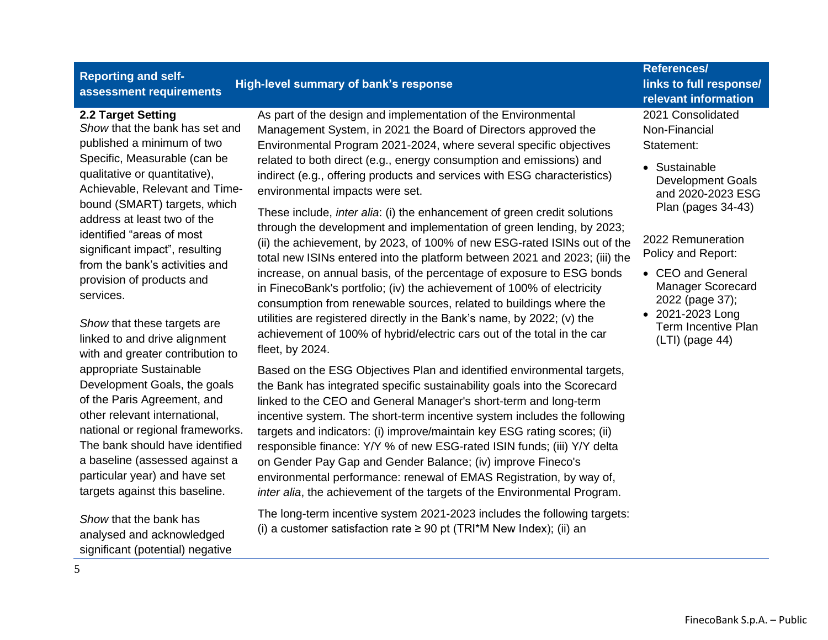#### **Reporting and selfassessment requirements High-level summary of bank's response References/ links to full response/ relevant information 2.2 Target Setting** *Show* that the bank has set and published a minimum of two Specific, Measurable (can be qualitative or quantitative), Achievable, Relevant and Timebound (SMART) targets, which address at least two of the identified "areas of most significant impact", resulting from the bank's activities and provision of products and services. *Show* that these targets are As part of the design and implementation of the Environmental Management System, in 2021 the Board of Directors approved the Environmental Program 2021-2024, where several specific objectives related to both direct (e.g., energy consumption and emissions) and indirect (e.g., offering products and services with ESG characteristics) environmental impacts were set. These include, *inter alia*: (i) the enhancement of green credit solutions through the development and implementation of green lending, by 2023; (ii) the achievement, by 2023, of 100% of new ESG-rated ISINs out of the total new ISINs entered into the platform between 2021 and 2023; (iii) the increase, on annual basis, of the percentage of exposure to ESG bonds in FinecoBank's portfolio; (iv) the achievement of 100% of electricity consumption from renewable sources, related to buildings where the utilities are registered directly in the Bank's name, by 2022; (v) the achievement of 100% of hybrid/electric cars out of the total in the car 2021 Consolidated Non-Financial Statement: • Sustainable Development Goals and 2020-2023 ESG Plan (pages 34-43) 2022 Remuneration Policy and Report: • CEO and General Manager Scorecard 2022 (page 37); • 2021-2023 Long Term Incentive Plan

linked to and drive alignment with and greater contribution to appropriate Sustainable Development Goals, the goals of the Paris Agreement, and other relevant international, national or regional frameworks. The bank should have identified a baseline (assessed against a particular year) and have set targets against this baseline.

fleet, by 2024.

*Show* that the bank has analysed and acknowledged significant (potential) negative Based on the ESG Objectives Plan and identified environmental targets, the Bank has integrated specific sustainability goals into the Scorecard linked to the CEO and General Manager's short-term and long-term incentive system. The short-term incentive system includes the following targets and indicators: (i) improve/maintain key ESG rating scores; (ii) responsible finance: Y/Y % of new ESG-rated ISIN funds; (iii) Y/Y delta on Gender Pay Gap and Gender Balance; (iv) improve Fineco's environmental performance: renewal of EMAS Registration, by way of, *inter alia*, the achievement of the targets of the Environmental Program.

The long-term incentive system 2021-2023 includes the following targets: (i) a customer satisfaction rate  $\geq 90$  pt (TRI\*M New Index); (ii) an

(LTI) (page 44)

5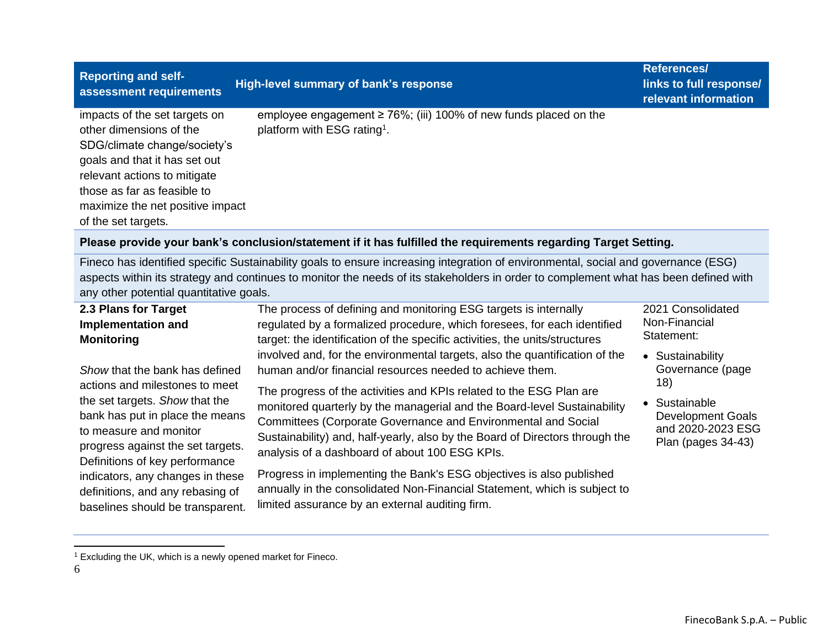| <b>Reporting and self-</b><br>assessment requirements                                                                                                                                                                                               | High-level summary of bank's response                                                                              | References/<br>links to full response/<br>relevant information |
|-----------------------------------------------------------------------------------------------------------------------------------------------------------------------------------------------------------------------------------------------------|--------------------------------------------------------------------------------------------------------------------|----------------------------------------------------------------|
| impacts of the set targets on<br>other dimensions of the<br>SDG/climate change/society's<br>goals and that it has set out<br>relevant actions to mitigate<br>those as far as feasible to<br>maximize the net positive impact<br>of the set targets. | employee engagement $\geq 76\%$ ; (iii) 100% of new funds placed on the<br>platform with ESG rating <sup>1</sup> . |                                                                |

#### **Please provide your bank's conclusion/statement if it has fulfilled the requirements regarding Target Setting.**

Fineco has identified specific Sustainability goals to ensure increasing integration of environmental, social and governance (ESG) aspects within its strategy and continues to monitor the needs of its stakeholders in order to complement what has been defined with any other potential quantitative goals.

| 2.3 Plans for Target<br><b>Implementation and</b><br><b>Monitoring</b>                                                                                                                               | The process of defining and monitoring ESG targets is internally<br>regulated by a formalized procedure, which foresees, for each identified<br>target: the identification of the specific activities, the units/structures                                                                                                                        | 2021 Consolidated<br>Non-Financial<br>Statement:                                            |
|------------------------------------------------------------------------------------------------------------------------------------------------------------------------------------------------------|----------------------------------------------------------------------------------------------------------------------------------------------------------------------------------------------------------------------------------------------------------------------------------------------------------------------------------------------------|---------------------------------------------------------------------------------------------|
| Show that the bank has defined                                                                                                                                                                       | involved and, for the environmental targets, also the quantification of the<br>human and/or financial resources needed to achieve them.                                                                                                                                                                                                            | • Sustainability<br>Governance (page                                                        |
| actions and milestones to meet<br>the set targets. Show that the<br>bank has put in place the means<br>to measure and monitor<br>progress against the set targets.<br>Definitions of key performance | The progress of the activities and KPIs related to the ESG Plan are<br>monitored quarterly by the managerial and the Board-level Sustainability<br>Committees (Corporate Governance and Environmental and Social<br>Sustainability) and, half-yearly, also by the Board of Directors through the<br>analysis of a dashboard of about 100 ESG KPIs. | 18)<br>• Sustainable<br><b>Development Goals</b><br>and 2020-2023 ESG<br>Plan (pages 34-43) |
| indicators, any changes in these<br>definitions, and any rebasing of<br>baselines should be transparent.                                                                                             | Progress in implementing the Bank's ESG objectives is also published<br>annually in the consolidated Non-Financial Statement, which is subject to<br>limited assurance by an external auditing firm.                                                                                                                                               |                                                                                             |

<sup>1</sup> Excluding the UK, which is a newly opened market for Fineco.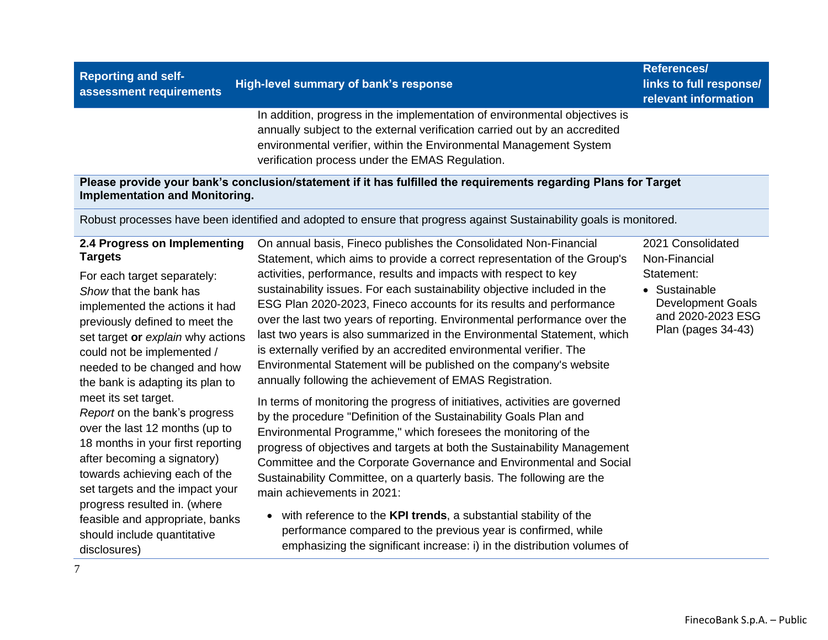| assessment requirements                                                                                                                                                                                                                                                                                            |                                                                                                                                                                                                                                                                                                                                                                                                                                                                                                                                                                                                                                                                                                                                     | relevant information                                                                                                                     |
|--------------------------------------------------------------------------------------------------------------------------------------------------------------------------------------------------------------------------------------------------------------------------------------------------------------------|-------------------------------------------------------------------------------------------------------------------------------------------------------------------------------------------------------------------------------------------------------------------------------------------------------------------------------------------------------------------------------------------------------------------------------------------------------------------------------------------------------------------------------------------------------------------------------------------------------------------------------------------------------------------------------------------------------------------------------------|------------------------------------------------------------------------------------------------------------------------------------------|
|                                                                                                                                                                                                                                                                                                                    | In addition, progress in the implementation of environmental objectives is<br>annually subject to the external verification carried out by an accredited<br>environmental verifier, within the Environmental Management System<br>verification process under the EMAS Regulation.                                                                                                                                                                                                                                                                                                                                                                                                                                                   |                                                                                                                                          |
| <b>Implementation and Monitoring.</b>                                                                                                                                                                                                                                                                              | Please provide your bank's conclusion/statement if it has fulfilled the requirements regarding Plans for Target                                                                                                                                                                                                                                                                                                                                                                                                                                                                                                                                                                                                                     |                                                                                                                                          |
|                                                                                                                                                                                                                                                                                                                    | Robust processes have been identified and adopted to ensure that progress against Sustainability goals is monitored.                                                                                                                                                                                                                                                                                                                                                                                                                                                                                                                                                                                                                |                                                                                                                                          |
| 2.4 Progress on Implementing<br><b>Targets</b><br>For each target separately:<br>Show that the bank has<br>implemented the actions it had<br>previously defined to meet the<br>set target or explain why actions<br>could not be implemented /<br>needed to be changed and how<br>the bank is adapting its plan to | On annual basis, Fineco publishes the Consolidated Non-Financial<br>Statement, which aims to provide a correct representation of the Group's<br>activities, performance, results and impacts with respect to key<br>sustainability issues. For each sustainability objective included in the<br>ESG Plan 2020-2023, Fineco accounts for its results and performance<br>over the last two years of reporting. Environmental performance over the<br>last two years is also summarized in the Environmental Statement, which<br>is externally verified by an accredited environmental verifier. The<br>Environmental Statement will be published on the company's website<br>annually following the achievement of EMAS Registration. | 2021 Consolidated<br>Non-Financial<br>Statement:<br>• Sustainable<br><b>Development Goals</b><br>and 2020-2023 ESG<br>Plan (pages 34-43) |
| meet its set target.<br>Report on the bank's progress<br>over the last 12 months (up to<br>18 months in your first reporting<br>after becoming a signatory)<br>towards achieving each of the                                                                                                                       | In terms of monitoring the progress of initiatives, activities are governed<br>by the procedure "Definition of the Sustainability Goals Plan and<br>Environmental Programme," which foresees the monitoring of the<br>progress of objectives and targets at both the Sustainability Management<br>Committee and the Corporate Governance and Environmental and Social<br>Sustainability Committee, on a quarterly basis. The following are the                                                                                                                                                                                                                                                                                      |                                                                                                                                          |

• with reference to the **KPI trends**, a substantial stability of the performance compared to the previous year is confirmed, while emphasizing the significant increase: i) in the distribution volumes of

set targets and the impact your progress resulted in. (where feasible and appropriate, banks should include quantitative

**Reporting and selfassessment requirements High-level summary of bank's response**

main achievements in 2021:

**References/ links to full response/** 

<sup>7</sup> disclosures)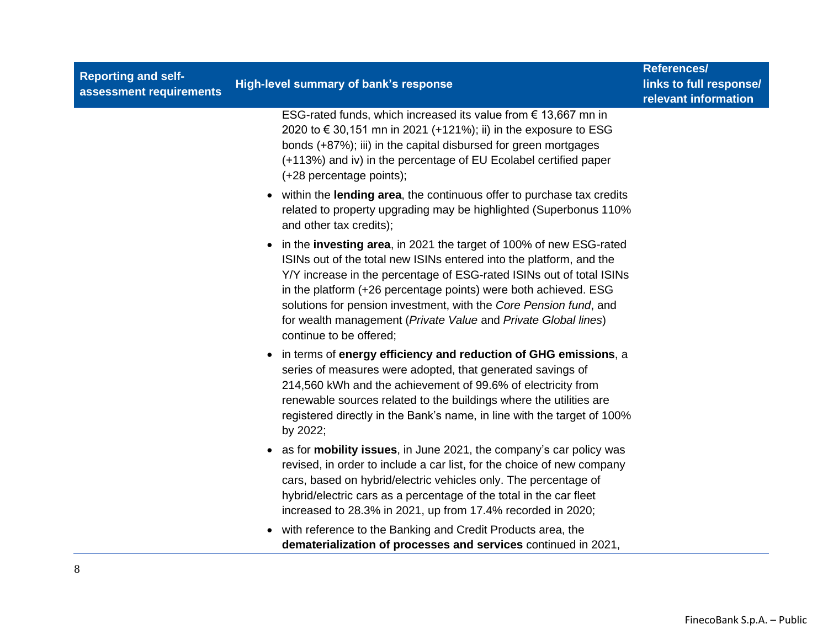| <b>Reporting and self-</b><br>assessment requirements | High-level summary of bank's response                                                                                                                                                                                                                                                                                                                                                                                                                    | <b>References/</b><br>links to full response/<br>relevant information |
|-------------------------------------------------------|----------------------------------------------------------------------------------------------------------------------------------------------------------------------------------------------------------------------------------------------------------------------------------------------------------------------------------------------------------------------------------------------------------------------------------------------------------|-----------------------------------------------------------------------|
|                                                       | ESG-rated funds, which increased its value from $\epsilon$ 13,667 mn in<br>2020 to €30,151 mn in 2021 (+121%); ii) in the exposure to ESG<br>bonds (+87%); iii) in the capital disbursed for green mortgages<br>(+113%) and iv) in the percentage of EU Ecolabel certified paper<br>(+28 percentage points);                                                                                                                                             |                                                                       |
|                                                       | • within the lending area, the continuous offer to purchase tax credits<br>related to property upgrading may be highlighted (Superbonus 110%<br>and other tax credits);                                                                                                                                                                                                                                                                                  |                                                                       |
|                                                       | • in the investing area, in 2021 the target of 100% of new ESG-rated<br>ISINs out of the total new ISINs entered into the platform, and the<br>Y/Y increase in the percentage of ESG-rated ISINs out of total ISINs<br>in the platform (+26 percentage points) were both achieved. ESG<br>solutions for pension investment, with the Core Pension fund, and<br>for wealth management (Private Value and Private Global lines)<br>continue to be offered; |                                                                       |
|                                                       | • in terms of energy efficiency and reduction of GHG emissions, a<br>series of measures were adopted, that generated savings of<br>214,560 kWh and the achievement of 99.6% of electricity from<br>renewable sources related to the buildings where the utilities are<br>registered directly in the Bank's name, in line with the target of 100%<br>by 2022;                                                                                             |                                                                       |
|                                                       | • as for <b>mobility issues</b> , in June 2021, the company's car policy was<br>revised, in order to include a car list, for the choice of new company<br>cars, based on hybrid/electric vehicles only. The percentage of<br>hybrid/electric cars as a percentage of the total in the car fleet<br>increased to 28.3% in 2021, up from 17.4% recorded in 2020;                                                                                           |                                                                       |
|                                                       | • with reference to the Banking and Credit Products area, the<br>dematerialization of processes and services continued in 2021,                                                                                                                                                                                                                                                                                                                          |                                                                       |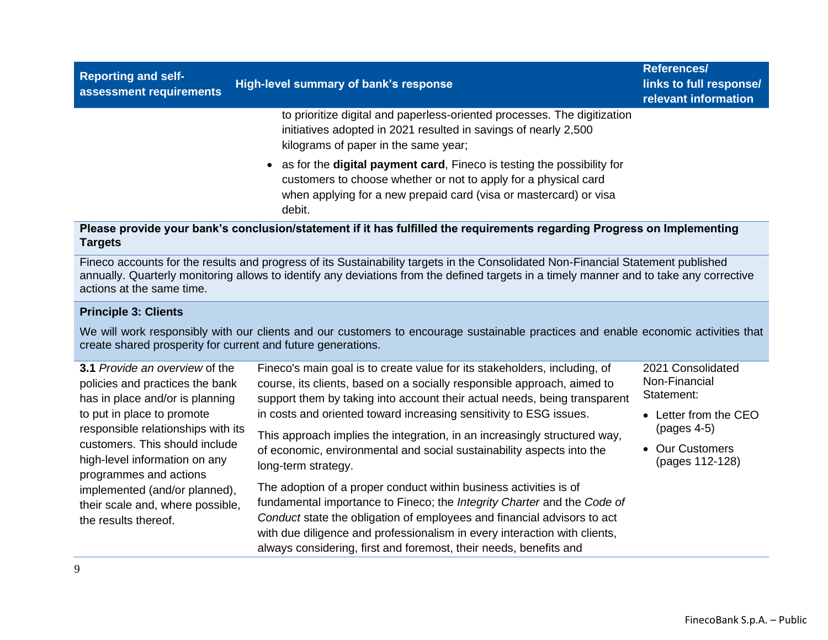| <b>Reporting and self-</b><br>assessment requirements | High-level summary of bank's response                                                                                                                                                                                      | References/<br>links to full response/<br>relevant information |
|-------------------------------------------------------|----------------------------------------------------------------------------------------------------------------------------------------------------------------------------------------------------------------------------|----------------------------------------------------------------|
|                                                       | to prioritize digital and paperless-oriented processes. The digitization<br>initiatives adopted in 2021 resulted in savings of nearly 2,500<br>kilograms of paper in the same year;                                        |                                                                |
|                                                       | • as for the digital payment card, Fineco is testing the possibility for<br>customers to choose whether or not to apply for a physical card<br>when applying for a new prepaid card (visa or mastercard) or visa<br>debit. |                                                                |
| Targets                                               | Please provide your bank's conclusion/statement if it has fulfilled the requirements regarding Progress on Implementing                                                                                                    |                                                                |

Fineco accounts for the results and progress of its Sustainability targets in the Consolidated Non-Financial Statement published annually. Quarterly monitoring allows to identify any deviations from the defined targets in a timely manner and to take any corrective actions at the same time.

#### **Principle 3: Clients**

We will work responsibly with our clients and our customers to encourage sustainable practices and enable economic activities that create shared prosperity for current and future generations.

| <b>3.1</b> Provide an overview of the<br>policies and practices the bank<br>has in place and/or is planning | Fineco's main goal is to create value for its stakeholders, including, of<br>course, its clients, based on a socially responsible approach, aimed to<br>support them by taking into account their actual needs, being transparent | 2021 Consolidated<br>Non-Financial<br>Statement: |
|-------------------------------------------------------------------------------------------------------------|-----------------------------------------------------------------------------------------------------------------------------------------------------------------------------------------------------------------------------------|--------------------------------------------------|
| to put in place to promote                                                                                  | in costs and oriented toward increasing sensitivity to ESG issues.                                                                                                                                                                | • Letter from the CEO                            |
| responsible relationships with its                                                                          | This approach implies the integration, in an increasingly structured way,                                                                                                                                                         | $(pages 4-5)$                                    |
| customers. This should include<br>high-level information on any<br>programmes and actions                   | of economic, environmental and social sustainability aspects into the<br>long-term strategy.                                                                                                                                      | • Our Customers<br>(pages 112-128)               |
| implemented (and/or planned),                                                                               | The adoption of a proper conduct within business activities is of                                                                                                                                                                 |                                                  |
| their scale and, where possible,                                                                            | fundamental importance to Fineco; the Integrity Charter and the Code of                                                                                                                                                           |                                                  |
| the results thereof.                                                                                        | Conduct state the obligation of employees and financial advisors to act<br>with due diligence and professionalism in every interaction with clients,<br>always considering, first and foremost, their needs, benefits and         |                                                  |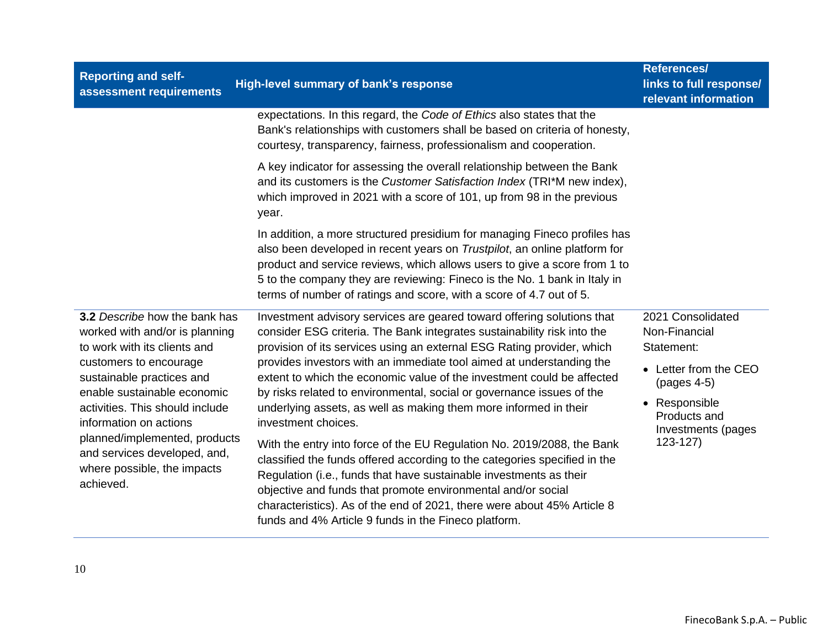| <b>Reporting and self-</b><br>assessment requirements                                                                                                                                 | High-level summary of bank's response                                                                                                                                                                                                                                                                                                                                                                                                                  | References/<br>links to full response/<br>relevant information                             |
|---------------------------------------------------------------------------------------------------------------------------------------------------------------------------------------|--------------------------------------------------------------------------------------------------------------------------------------------------------------------------------------------------------------------------------------------------------------------------------------------------------------------------------------------------------------------------------------------------------------------------------------------------------|--------------------------------------------------------------------------------------------|
|                                                                                                                                                                                       | expectations. In this regard, the Code of Ethics also states that the<br>Bank's relationships with customers shall be based on criteria of honesty,<br>courtesy, transparency, fairness, professionalism and cooperation.                                                                                                                                                                                                                              |                                                                                            |
|                                                                                                                                                                                       | A key indicator for assessing the overall relationship between the Bank<br>and its customers is the Customer Satisfaction Index (TRI*M new index),<br>which improved in 2021 with a score of 101, up from 98 in the previous<br>year.                                                                                                                                                                                                                  |                                                                                            |
|                                                                                                                                                                                       | In addition, a more structured presidium for managing Fineco profiles has<br>also been developed in recent years on Trustpilot, an online platform for<br>product and service reviews, which allows users to give a score from 1 to<br>5 to the company they are reviewing: Fineco is the No. 1 bank in Italy in<br>terms of number of ratings and score, with a score of 4.7 out of 5.                                                                |                                                                                            |
| 3.2 Describe how the bank has<br>worked with and/or is planning<br>to work with its clients and<br>customers to encourage<br>sustainable practices and<br>enable sustainable economic | Investment advisory services are geared toward offering solutions that<br>consider ESG criteria. The Bank integrates sustainability risk into the<br>provision of its services using an external ESG Rating provider, which<br>provides investors with an immediate tool aimed at understanding the<br>extent to which the economic value of the investment could be affected<br>by risks related to environmental, social or governance issues of the | 2021 Consolidated<br>Non-Financial<br>Statement:<br>• Letter from the CEO<br>$(pages 4-5)$ |
| activities. This should include<br>information on actions<br>planned/implemented, products<br>and services developed, and,<br>where possible, the impacts<br>achieved.                | underlying assets, as well as making them more informed in their<br>investment choices.                                                                                                                                                                                                                                                                                                                                                                | • Responsible<br>Products and<br>Investments (pages                                        |
|                                                                                                                                                                                       | With the entry into force of the EU Regulation No. 2019/2088, the Bank<br>classified the funds offered according to the categories specified in the<br>Regulation (i.e., funds that have sustainable investments as their<br>objective and funds that promote environmental and/or social<br>characteristics). As of the end of 2021, there were about 45% Article 8<br>funds and 4% Article 9 funds in the Fineco platform.                           | $123-127$                                                                                  |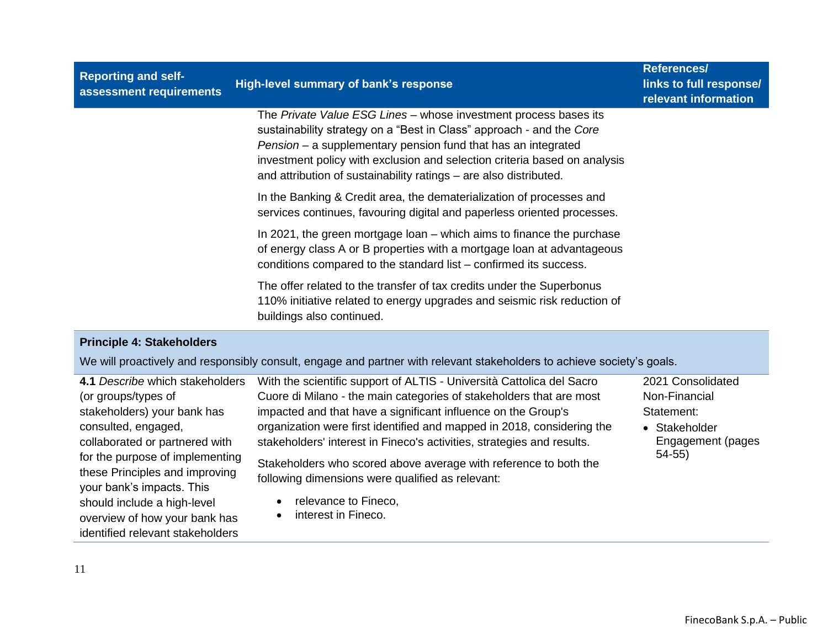| <b>Reporting and self-</b><br>assessment requirements | High-level summary of bank's response                                                                                                                                                                                                                                                                                                                       | <b>References/</b><br>links to full response/<br>relevant information |
|-------------------------------------------------------|-------------------------------------------------------------------------------------------------------------------------------------------------------------------------------------------------------------------------------------------------------------------------------------------------------------------------------------------------------------|-----------------------------------------------------------------------|
|                                                       | The Private Value ESG Lines - whose investment process bases its<br>sustainability strategy on a "Best in Class" approach - and the Core<br>Pension – a supplementary pension fund that has an integrated<br>investment policy with exclusion and selection criteria based on analysis<br>and attribution of sustainability ratings – are also distributed. |                                                                       |
|                                                       | In the Banking & Credit area, the dematerialization of processes and<br>services continues, favouring digital and paperless oriented processes.                                                                                                                                                                                                             |                                                                       |
|                                                       | In 2021, the green mortgage loan – which aims to finance the purchase<br>of energy class A or B properties with a mortgage loan at advantageous<br>conditions compared to the standard list – confirmed its success.                                                                                                                                        |                                                                       |
|                                                       | The offer related to the transfer of tax credits under the Superbonus<br>110% initiative related to energy upgrades and seismic risk reduction of<br>buildings also continued.                                                                                                                                                                              |                                                                       |

### **Principle 4: Stakeholders**

We will proactively and responsibly consult, engage and partner with relevant stakeholders to achieve society's goals.

| 4.1 Describe which stakeholders                             | With the scientific support of ALTIS - Università Cattolica del Sacro  | 2021 Consolidated |
|-------------------------------------------------------------|------------------------------------------------------------------------|-------------------|
| (or groups/types of                                         | Cuore di Milano - the main categories of stakeholders that are most    | Non-Financial     |
| stakeholders) your bank has                                 | impacted and that have a significant influence on the Group's          | Statement:        |
| consulted, engaged,                                         | organization were first identified and mapped in 2018, considering the | • Stakeholder     |
| collaborated or partnered with                              | stakeholders' interest in Fineco's activities, strategies and results. | Engagement (pages |
| for the purpose of implementing                             | Stakeholders who scored above average with reference to both the       | $54-55$           |
| these Principles and improving<br>your bank's impacts. This | following dimensions were qualified as relevant:                       |                   |
| should include a high-level                                 | relevance to Fineco,                                                   |                   |
| overview of how your bank has                               | interest in Fineco.                                                    |                   |
| identified relevant stakeholders                            |                                                                        |                   |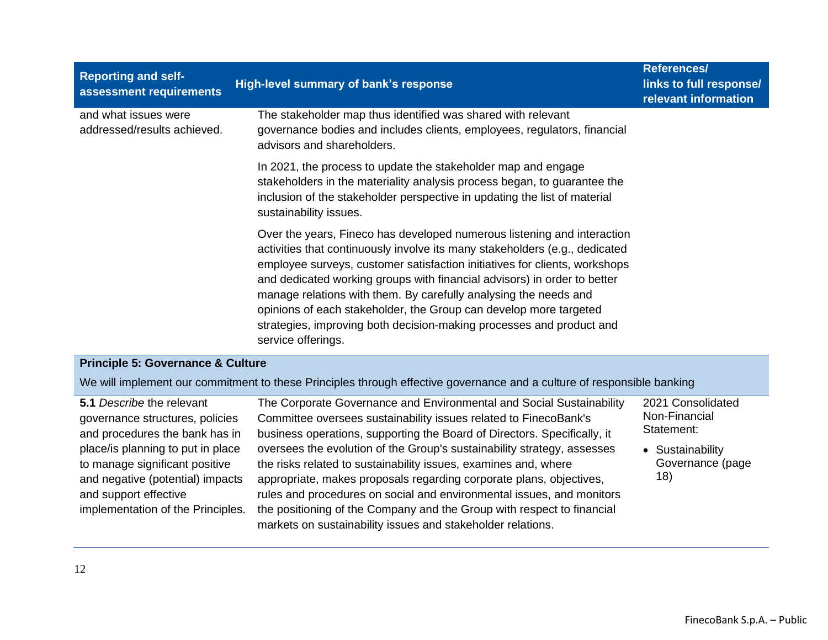| <b>Reporting and self-</b><br>assessment requirements | High-level summary of bank's response                                                                                                                                                                                                                                                                                                                                                                                                                                                                                                                   | <b>References/</b><br>links to full response/<br>relevant information |
|-------------------------------------------------------|---------------------------------------------------------------------------------------------------------------------------------------------------------------------------------------------------------------------------------------------------------------------------------------------------------------------------------------------------------------------------------------------------------------------------------------------------------------------------------------------------------------------------------------------------------|-----------------------------------------------------------------------|
| and what issues were<br>addressed/results achieved.   | The stakeholder map thus identified was shared with relevant<br>governance bodies and includes clients, employees, regulators, financial<br>advisors and shareholders.                                                                                                                                                                                                                                                                                                                                                                                  |                                                                       |
|                                                       | In 2021, the process to update the stakeholder map and engage<br>stakeholders in the materiality analysis process began, to guarantee the<br>inclusion of the stakeholder perspective in updating the list of material<br>sustainability issues.                                                                                                                                                                                                                                                                                                        |                                                                       |
|                                                       | Over the years, Fineco has developed numerous listening and interaction<br>activities that continuously involve its many stakeholders (e.g., dedicated<br>employee surveys, customer satisfaction initiatives for clients, workshops<br>and dedicated working groups with financial advisors) in order to better<br>manage relations with them. By carefully analysing the needs and<br>opinions of each stakeholder, the Group can develop more targeted<br>strategies, improving both decision-making processes and product and<br>service offerings. |                                                                       |
| <b>Principle 5: Governance &amp; Culture</b>          |                                                                                                                                                                                                                                                                                                                                                                                                                                                                                                                                                         |                                                                       |

We will implement our commitment to these Principles through effective governance and a culture of responsible banking

| 5.1 Describe the relevant         | The Corporate Governance and Environmental and Social Sustainability     | 2021 Consolidated |
|-----------------------------------|--------------------------------------------------------------------------|-------------------|
| governance structures, policies   | Committee oversees sustainability issues related to FinecoBank's         | Non-Financial     |
| and procedures the bank has in    | business operations, supporting the Board of Directors. Specifically, it | Statement:        |
| place/is planning to put in place | oversees the evolution of the Group's sustainability strategy, assesses  | • Sustainability  |
| to manage significant positive    | the risks related to sustainability issues, examines and, where          | Governance (page  |
| and negative (potential) impacts  | appropriate, makes proposals regarding corporate plans, objectives,      | 18)               |
| and support effective             | rules and procedures on social and environmental issues, and monitors    |                   |
| implementation of the Principles. | the positioning of the Company and the Group with respect to financial   |                   |
|                                   | markets on sustainability issues and stakeholder relations.              |                   |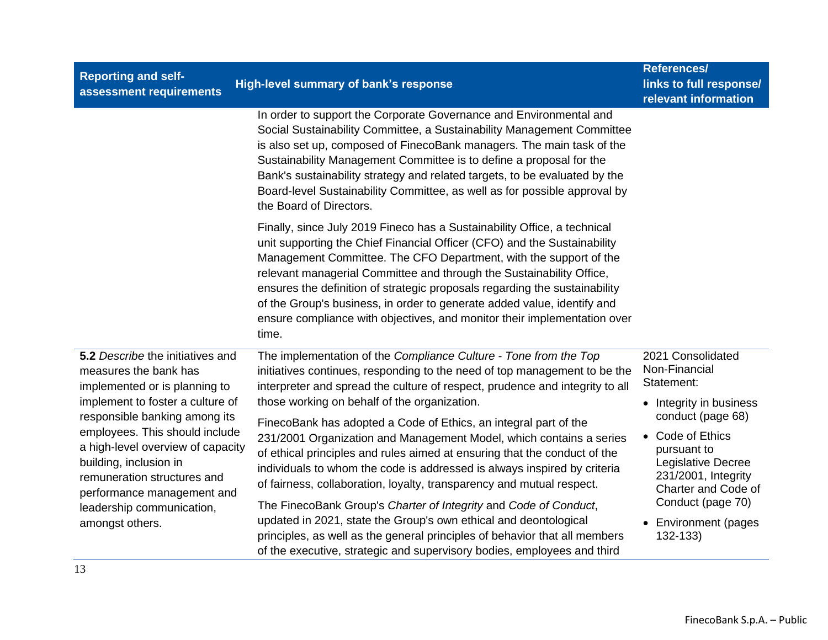| <b>Reporting and self-</b><br>assessment requirements                                                                                                                                                                                                                                                                                                                         | High-level summary of bank's response                                                                                                                                                                                                                                                                                                                                                                                                                                                                                                                                                                                                                                                                                                                                                                                                                                                                                                                       | References/<br>links to full response/<br>relevant information                                                                                                                                                                                                              |
|-------------------------------------------------------------------------------------------------------------------------------------------------------------------------------------------------------------------------------------------------------------------------------------------------------------------------------------------------------------------------------|-------------------------------------------------------------------------------------------------------------------------------------------------------------------------------------------------------------------------------------------------------------------------------------------------------------------------------------------------------------------------------------------------------------------------------------------------------------------------------------------------------------------------------------------------------------------------------------------------------------------------------------------------------------------------------------------------------------------------------------------------------------------------------------------------------------------------------------------------------------------------------------------------------------------------------------------------------------|-----------------------------------------------------------------------------------------------------------------------------------------------------------------------------------------------------------------------------------------------------------------------------|
|                                                                                                                                                                                                                                                                                                                                                                               | In order to support the Corporate Governance and Environmental and<br>Social Sustainability Committee, a Sustainability Management Committee<br>is also set up, composed of FinecoBank managers. The main task of the<br>Sustainability Management Committee is to define a proposal for the<br>Bank's sustainability strategy and related targets, to be evaluated by the<br>Board-level Sustainability Committee, as well as for possible approval by<br>the Board of Directors.                                                                                                                                                                                                                                                                                                                                                                                                                                                                          |                                                                                                                                                                                                                                                                             |
|                                                                                                                                                                                                                                                                                                                                                                               | Finally, since July 2019 Fineco has a Sustainability Office, a technical<br>unit supporting the Chief Financial Officer (CFO) and the Sustainability<br>Management Committee. The CFO Department, with the support of the<br>relevant managerial Committee and through the Sustainability Office,<br>ensures the definition of strategic proposals regarding the sustainability<br>of the Group's business, in order to generate added value, identify and<br>ensure compliance with objectives, and monitor their implementation over<br>time.                                                                                                                                                                                                                                                                                                                                                                                                             |                                                                                                                                                                                                                                                                             |
| 5.2 Describe the initiatives and<br>measures the bank has<br>implemented or is planning to<br>implement to foster a culture of<br>responsible banking among its<br>employees. This should include<br>a high-level overview of capacity<br>building, inclusion in<br>remuneration structures and<br>performance management and<br>leadership communication,<br>amongst others. | The implementation of the Compliance Culture - Tone from the Top<br>initiatives continues, responding to the need of top management to be the<br>interpreter and spread the culture of respect, prudence and integrity to all<br>those working on behalf of the organization.<br>FinecoBank has adopted a Code of Ethics, an integral part of the<br>231/2001 Organization and Management Model, which contains a series<br>of ethical principles and rules aimed at ensuring that the conduct of the<br>individuals to whom the code is addressed is always inspired by criteria<br>of fairness, collaboration, loyalty, transparency and mutual respect.<br>The FinecoBank Group's Charter of Integrity and Code of Conduct,<br>updated in 2021, state the Group's own ethical and deontological<br>principles, as well as the general principles of behavior that all members<br>of the executive, strategic and supervisory bodies, employees and third | 2021 Consolidated<br>Non-Financial<br>Statement:<br>• Integrity in business<br>conduct (page 68)<br>Code of Ethics<br>$\bullet$<br>pursuant to<br>Legislative Decree<br>231/2001, Integrity<br>Charter and Code of<br>Conduct (page 70)<br>• Environment (pages<br>132-133) |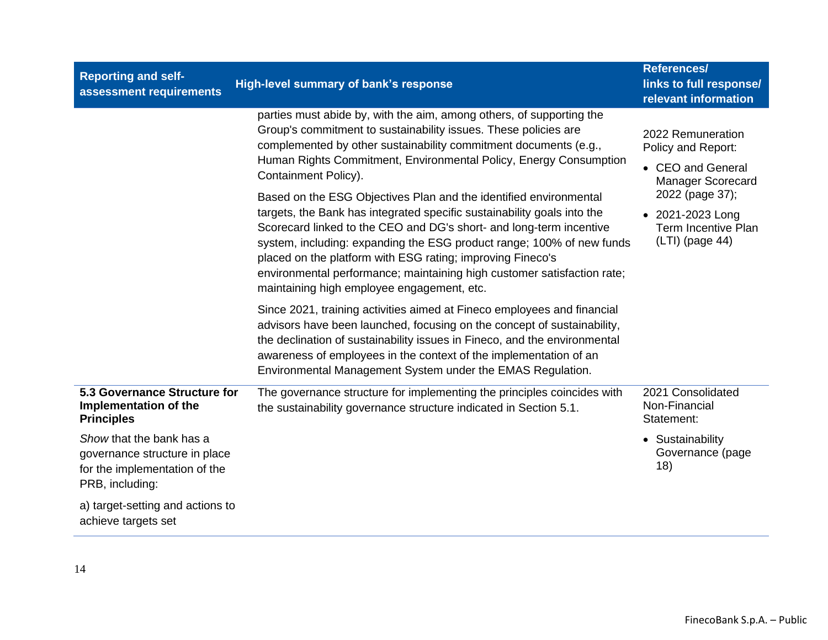| <b>Reporting and self-</b><br>assessment requirements                                                         | High-level summary of bank's response                                                                                                                                                                                                                                                                                                                                                                                                                                               | <b>References/</b><br>links to full response/<br>relevant information                    |
|---------------------------------------------------------------------------------------------------------------|-------------------------------------------------------------------------------------------------------------------------------------------------------------------------------------------------------------------------------------------------------------------------------------------------------------------------------------------------------------------------------------------------------------------------------------------------------------------------------------|------------------------------------------------------------------------------------------|
|                                                                                                               | parties must abide by, with the aim, among others, of supporting the<br>Group's commitment to sustainability issues. These policies are<br>complemented by other sustainability commitment documents (e.g.,<br>Human Rights Commitment, Environmental Policy, Energy Consumption<br>Containment Policy).                                                                                                                                                                            | 2022 Remuneration<br>Policy and Report:<br>• CEO and General<br><b>Manager Scorecard</b> |
|                                                                                                               | Based on the ESG Objectives Plan and the identified environmental<br>targets, the Bank has integrated specific sustainability goals into the<br>Scorecard linked to the CEO and DG's short- and long-term incentive<br>system, including: expanding the ESG product range; 100% of new funds<br>placed on the platform with ESG rating; improving Fineco's<br>environmental performance; maintaining high customer satisfaction rate;<br>maintaining high employee engagement, etc. | 2022 (page 37);<br>• 2021-2023 Long<br><b>Term Incentive Plan</b><br>(LTI) (page 44)     |
|                                                                                                               | Since 2021, training activities aimed at Fineco employees and financial<br>advisors have been launched, focusing on the concept of sustainability,<br>the declination of sustainability issues in Fineco, and the environmental<br>awareness of employees in the context of the implementation of an<br>Environmental Management System under the EMAS Regulation.                                                                                                                  |                                                                                          |
| 5.3 Governance Structure for<br>Implementation of the<br><b>Principles</b>                                    | The governance structure for implementing the principles coincides with<br>the sustainability governance structure indicated in Section 5.1.                                                                                                                                                                                                                                                                                                                                        | 2021 Consolidated<br>Non-Financial<br>Statement:                                         |
| Show that the bank has a<br>governance structure in place<br>for the implementation of the<br>PRB, including: |                                                                                                                                                                                                                                                                                                                                                                                                                                                                                     | • Sustainability<br>Governance (page<br>18)                                              |
| a) target-setting and actions to<br>achieve targets set                                                       |                                                                                                                                                                                                                                                                                                                                                                                                                                                                                     |                                                                                          |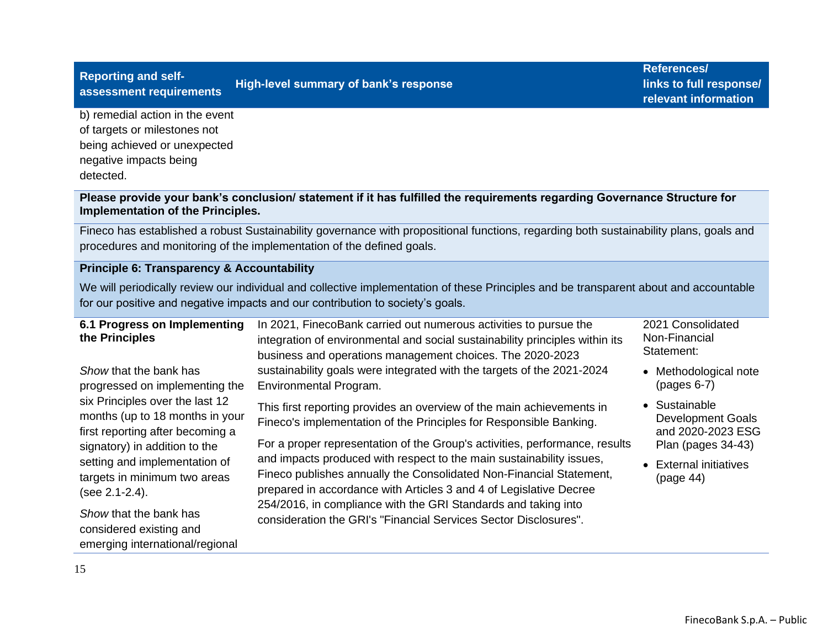# **Reporting and self-**

## **assessment requirements High-level summary of bank's response**

**References/ links to full response/ relevant information**

b) remedial action in the event of targets or milestones not being achieved or unexpected negative impacts being detected.

#### **Please provide your bank's conclusion/ statement if it has fulfilled the requirements regarding Governance Structure for Implementation of the Principles.**

Fineco has established a robust Sustainability governance with propositional functions, regarding both sustainability plans, goals and procedures and monitoring of the implementation of the defined goals.

#### **Principle 6: Transparency & Accountability**

We will periodically review our individual and collective implementation of these Principles and be transparent about and accountable for our positive and negative impacts and our contribution to society's goals.

| 6.1 Progress on Implementing<br>the Principles                                                                                          | In 2021, FinecoBank carried out numerous activities to pursue the<br>integration of environmental and social sustainability principles within its<br>business and operations management choices. The 2020-2023             | 2021 Consolidated<br>Non-Financial<br>Statement:                                     |
|-----------------------------------------------------------------------------------------------------------------------------------------|----------------------------------------------------------------------------------------------------------------------------------------------------------------------------------------------------------------------------|--------------------------------------------------------------------------------------|
| Show that the bank has<br>progressed on implementing the                                                                                | sustainability goals were integrated with the targets of the 2021-2024<br>Environmental Program.                                                                                                                           | • Methodological note<br>$(pages 6-7)$                                               |
| six Principles over the last 12<br>months (up to 18 months in your<br>first reporting after becoming a<br>signatory) in addition to the | This first reporting provides an overview of the main achievements in<br>Fineco's implementation of the Principles for Responsible Banking.<br>For a proper representation of the Group's activities, performance, results | • Sustainable<br><b>Development Goals</b><br>and 2020-2023 ESG<br>Plan (pages 34-43) |
| setting and implementation of<br>targets in minimum two areas<br>(see 2.1-2.4).                                                         | and impacts produced with respect to the main sustainability issues,<br>Fineco publishes annually the Consolidated Non-Financial Statement,<br>prepared in accordance with Articles 3 and 4 of Legislative Decree          | • External initiatives<br>(page 44)                                                  |
| Show that the bank has<br>considered existing and<br>emerging international/regional                                                    | 254/2016, in compliance with the GRI Standards and taking into<br>consideration the GRI's "Financial Services Sector Disclosures".                                                                                         |                                                                                      |